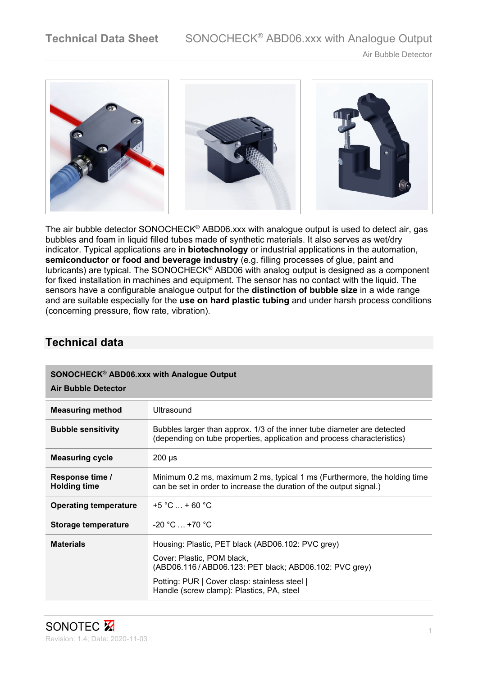

The air bubble detector SONOCHECK® ABD06.xxx with analogue output is used to detect air, gas bubbles and foam in liquid filled tubes made of synthetic materials. It also serves as wet/dry indicator. Typical applications are in **biotechnology** or industrial applications in the automation, **semiconductor or food and beverage industry** (e.g. filling processes of glue, paint and lubricants) are typical. The SONOCHECK® ABD06 with analog output is designed as a component for fixed installation in machines and equipment. The sensor has no contact with the liquid. The sensors have a configurable analogue output for the **distinction of bubble size** in a wide range and are suitable especially for the **use on hard plastic tubing** and under harsh process conditions (concerning pressure, flow rate, vibration).

| <b>SONOCHECK® ABD06.xxx with Analogue Output</b><br><b>Air Bubble Detector</b> |                                                                                                                                                    |  |  |
|--------------------------------------------------------------------------------|----------------------------------------------------------------------------------------------------------------------------------------------------|--|--|
| <b>Measuring method</b>                                                        | Ultrasound                                                                                                                                         |  |  |
| <b>Bubble sensitivity</b>                                                      | Bubbles larger than approx. 1/3 of the inner tube diameter are detected<br>(depending on tube properties, application and process characteristics) |  |  |
| <b>Measuring cycle</b>                                                         | $200 \mu s$                                                                                                                                        |  |  |
| Response time /<br><b>Holding time</b>                                         | Minimum 0.2 ms, maximum 2 ms, typical 1 ms (Furthermore, the holding time<br>can be set in order to increase the duration of the output signal.)   |  |  |
| <b>Operating temperature</b>                                                   | $+5 °C  + 60 °C$                                                                                                                                   |  |  |
| Storage temperature                                                            | $-20 °C_{\dots} + 70 °C$                                                                                                                           |  |  |
| <b>Materials</b>                                                               | Housing: Plastic, PET black (ABD06.102: PVC grey)<br>Cover: Plastic, POM black,                                                                    |  |  |
|                                                                                | (ABD06.116 / ABD06.123: PET black; ABD06.102: PVC grey)                                                                                            |  |  |
|                                                                                | Potting: PUR   Cover clasp: stainless steel  <br>Handle (screw clamp): Plastics, PA, steel                                                         |  |  |

## **Technical data**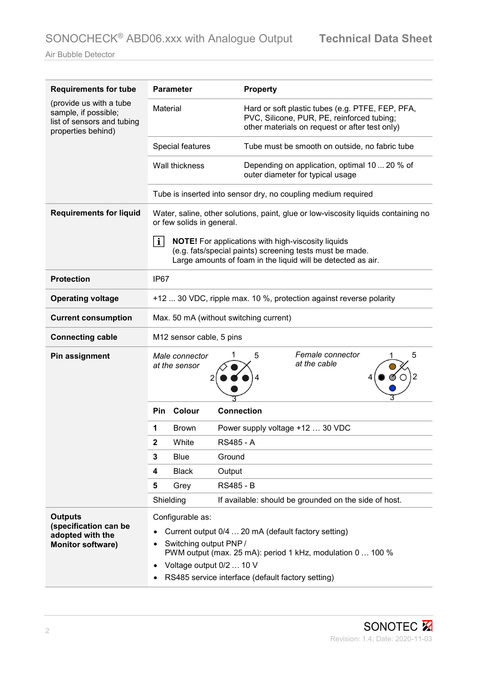Air Bubble Detector

| <b>Requirements for tube</b>                                                                        | <b>Parameter</b>                                                                                                                                                                                                                                                                                                                     | <b>Property</b>                                                                                                                                  |  |  |  |
|-----------------------------------------------------------------------------------------------------|--------------------------------------------------------------------------------------------------------------------------------------------------------------------------------------------------------------------------------------------------------------------------------------------------------------------------------------|--------------------------------------------------------------------------------------------------------------------------------------------------|--|--|--|
| (provide us with a tube<br>sample, if possible;<br>list of sensors and tubing<br>properties behind) | Material                                                                                                                                                                                                                                                                                                                             | Hard or soft plastic tubes (e.g. PTFE, FEP, PFA,<br>PVC, Silicone, PUR, PE, reinforced tubing;<br>other materials on request or after test only) |  |  |  |
|                                                                                                     | Special features                                                                                                                                                                                                                                                                                                                     | Tube must be smooth on outside, no fabric tube                                                                                                   |  |  |  |
|                                                                                                     | Wall thickness                                                                                                                                                                                                                                                                                                                       | Depending on application, optimal 10  20 % of<br>outer diameter for typical usage                                                                |  |  |  |
|                                                                                                     | Tube is inserted into sensor dry, no coupling medium required                                                                                                                                                                                                                                                                        |                                                                                                                                                  |  |  |  |
| <b>Requirements for liquid</b>                                                                      | Water, saline, other solutions, paint, glue or low-viscosity liquids containing no<br>or few solids in general.<br>$\vert \mathbf{i} \vert$<br><b>NOTE!</b> For applications with high-viscosity liquids<br>(e.g. fats/special paints) screening tests must be made.<br>Large amounts of foam in the liquid will be detected as air. |                                                                                                                                                  |  |  |  |
|                                                                                                     |                                                                                                                                                                                                                                                                                                                                      |                                                                                                                                                  |  |  |  |
| <b>Protection</b>                                                                                   | IP <sub>67</sub>                                                                                                                                                                                                                                                                                                                     |                                                                                                                                                  |  |  |  |
| <b>Operating voltage</b>                                                                            | +12  30 VDC, ripple max. 10 %, protection against reverse polarity                                                                                                                                                                                                                                                                   |                                                                                                                                                  |  |  |  |
| <b>Current consumption</b>                                                                          | Max. 50 mA (without switching current)                                                                                                                                                                                                                                                                                               |                                                                                                                                                  |  |  |  |
| <b>Connecting cable</b>                                                                             | M12 sensor cable, 5 pins                                                                                                                                                                                                                                                                                                             |                                                                                                                                                  |  |  |  |
| Pin assignment                                                                                      | Female connector<br>5<br>Male connector<br>at the cable<br>at the sensor                                                                                                                                                                                                                                                             |                                                                                                                                                  |  |  |  |
|                                                                                                     | Colour<br><b>Pin</b>                                                                                                                                                                                                                                                                                                                 | <b>Connection</b>                                                                                                                                |  |  |  |
|                                                                                                     | 1<br><b>Brown</b>                                                                                                                                                                                                                                                                                                                    | Power supply voltage +12  30 VDC                                                                                                                 |  |  |  |
|                                                                                                     | 2<br>White                                                                                                                                                                                                                                                                                                                           | RS485 - A                                                                                                                                        |  |  |  |
|                                                                                                     | 3<br><b>Blue</b><br>Ground                                                                                                                                                                                                                                                                                                           |                                                                                                                                                  |  |  |  |
|                                                                                                     | 4<br><b>Black</b><br>Output                                                                                                                                                                                                                                                                                                          |                                                                                                                                                  |  |  |  |
|                                                                                                     | 5<br>Grey                                                                                                                                                                                                                                                                                                                            | <b>RS485 - B</b>                                                                                                                                 |  |  |  |
|                                                                                                     | If available: should be grounded on the side of host.<br>Shielding                                                                                                                                                                                                                                                                   |                                                                                                                                                  |  |  |  |
| <b>Outputs</b><br>(specification can be                                                             | Configurable as:                                                                                                                                                                                                                                                                                                                     |                                                                                                                                                  |  |  |  |
| adopted with the<br><b>Monitor software)</b>                                                        | Current output 0/4  20 mA (default factory setting)<br>Switching output PNP /<br>PWM output (max. 25 mA): period 1 kHz, modulation 0  100 %                                                                                                                                                                                          |                                                                                                                                                  |  |  |  |
|                                                                                                     | Voltage output 0/2  10 V                                                                                                                                                                                                                                                                                                             |                                                                                                                                                  |  |  |  |
|                                                                                                     | RS485 service interface (default factory setting)                                                                                                                                                                                                                                                                                    |                                                                                                                                                  |  |  |  |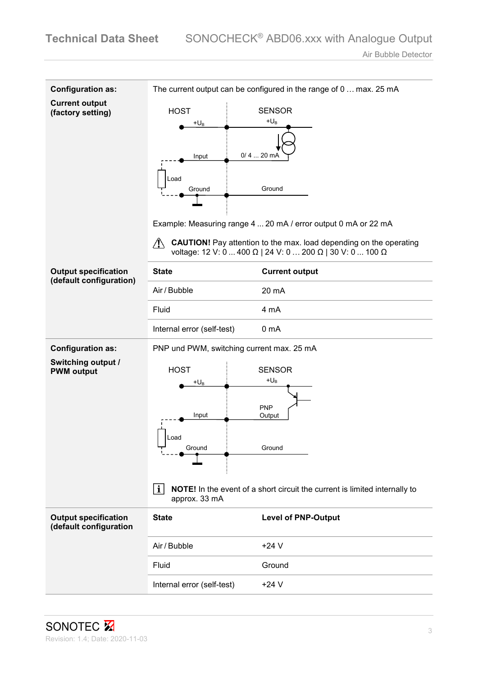| <b>Configuration as:</b>                               | The current output can be configured in the range of 0  max. 25 mA                                |                                                                                                                                        |  |  |
|--------------------------------------------------------|---------------------------------------------------------------------------------------------------|----------------------------------------------------------------------------------------------------------------------------------------|--|--|
| <b>Current output</b><br>(factory setting)             | <b>HOST</b><br>+U <sub>B</sub><br>Input<br>Load<br>Ground                                         | <b>SENSOR</b><br>$+\mathsf{U}_\mathsf{B}$<br>0/420mA<br>Ground                                                                         |  |  |
|                                                        | Example: Measuring range 4  20 mA / error output 0 mA or 22 mA                                    |                                                                                                                                        |  |  |
|                                                        | ∕!`                                                                                               | <b>CAUTION!</b> Pay attention to the max. load depending on the operating<br>voltage: 12 V: 0  400 Ω   24 V: 0  200 Ω   30 V: 0  100 Ω |  |  |
| <b>Output specification</b><br>(default configuration) | <b>State</b>                                                                                      | <b>Current output</b>                                                                                                                  |  |  |
|                                                        | Air / Bubble                                                                                      | 20 mA                                                                                                                                  |  |  |
|                                                        | Fluid                                                                                             | 4 mA                                                                                                                                   |  |  |
|                                                        | Internal error (self-test)                                                                        | 0 <sub>m</sub> A                                                                                                                       |  |  |
| <b>Configuration as:</b>                               | PNP und PWM, switching current max. 25 mA                                                         |                                                                                                                                        |  |  |
| <b>Switching output /</b><br><b>PWM</b> output         | <b>HOST</b><br>$+U_B$<br>Input<br>Load<br>Ground                                                  | <b>SENSOR</b><br>$+U_B$<br><b>PNP</b><br>Output<br>Ground                                                                              |  |  |
|                                                        | i <br>NOTE! In the event of a short circuit the current is limited internally to<br>approx. 33 mA |                                                                                                                                        |  |  |
| <b>Output specification</b><br>(default configuration  | <b>State</b>                                                                                      | <b>Level of PNP-Output</b>                                                                                                             |  |  |
|                                                        | Air / Bubble                                                                                      | $+24V$                                                                                                                                 |  |  |
|                                                        | Fluid                                                                                             | Ground                                                                                                                                 |  |  |
|                                                        | Internal error (self-test)                                                                        | $+24V$                                                                                                                                 |  |  |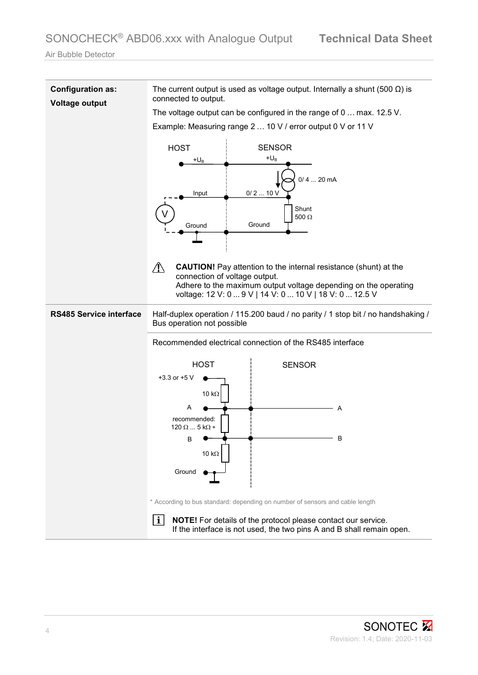Air Bubble Detector

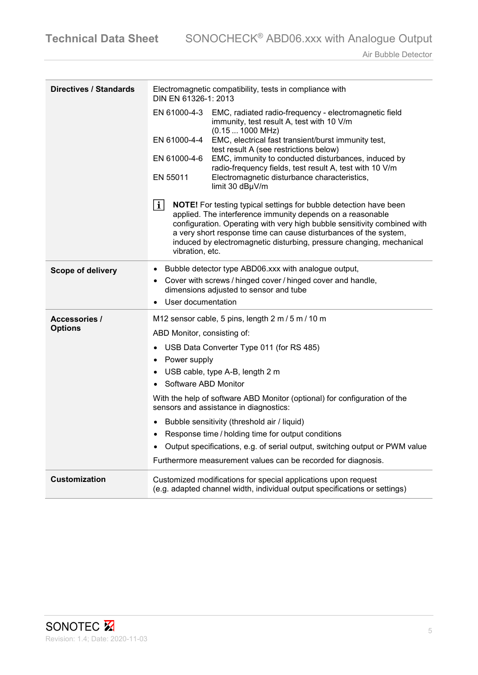| <b>Directives / Standards</b> | Electromagnetic compatibility, tests in compliance with<br>DIN EN 61326-1: 2013                                                                                                                                                                                                                                                                                                                        |  |  |  |  |
|-------------------------------|--------------------------------------------------------------------------------------------------------------------------------------------------------------------------------------------------------------------------------------------------------------------------------------------------------------------------------------------------------------------------------------------------------|--|--|--|--|
|                               | EN 61000-4-3 EMC, radiated radio-frequency - electromagnetic field<br>immunity, test result A, test with 10 V/m<br>(0.151000 MHz)                                                                                                                                                                                                                                                                      |  |  |  |  |
|                               | EMC, electrical fast transient/burst immunity test,<br>EN 61000-4-4<br>test result A (see restrictions below)                                                                                                                                                                                                                                                                                          |  |  |  |  |
|                               | EN 61000-4-6<br>EMC, immunity to conducted disturbances, induced by<br>radio-frequency fields, test result A, test with 10 V/m                                                                                                                                                                                                                                                                         |  |  |  |  |
|                               | Electromagnetic disturbance characteristics,<br>EN 55011<br>limit 30 dBµV/m                                                                                                                                                                                                                                                                                                                            |  |  |  |  |
|                               | $\vert \mathbf{i} \vert$<br>NOTE! For testing typical settings for bubble detection have been<br>applied. The interference immunity depends on a reasonable<br>configuration. Operating with very high bubble sensitivity combined with<br>a very short response time can cause disturbances of the system,<br>induced by electromagnetic disturbing, pressure changing, mechanical<br>vibration, etc. |  |  |  |  |
| <b>Scope of delivery</b>      | Bubble detector type ABD06.xxx with analogue output,<br>$\bullet$                                                                                                                                                                                                                                                                                                                                      |  |  |  |  |
|                               | Cover with screws / hinged cover / hinged cover and handle,<br>$\bullet$<br>dimensions adjusted to sensor and tube                                                                                                                                                                                                                                                                                     |  |  |  |  |
|                               | User documentation                                                                                                                                                                                                                                                                                                                                                                                     |  |  |  |  |
| <b>Accessories /</b>          | M12 sensor cable, 5 pins, length 2 m / 5 m / 10 m                                                                                                                                                                                                                                                                                                                                                      |  |  |  |  |
| <b>Options</b>                | ABD Monitor, consisting of:                                                                                                                                                                                                                                                                                                                                                                            |  |  |  |  |
|                               | USB Data Converter Type 011 (for RS 485)<br>٠                                                                                                                                                                                                                                                                                                                                                          |  |  |  |  |
|                               | Power supply<br>٠                                                                                                                                                                                                                                                                                                                                                                                      |  |  |  |  |
|                               | USB cable, type A-B, length 2 m                                                                                                                                                                                                                                                                                                                                                                        |  |  |  |  |
|                               | Software ABD Monitor                                                                                                                                                                                                                                                                                                                                                                                   |  |  |  |  |
|                               | With the help of software ABD Monitor (optional) for configuration of the<br>sensors and assistance in diagnostics:                                                                                                                                                                                                                                                                                    |  |  |  |  |
|                               | Bubble sensitivity (threshold air / liquid)<br>٠                                                                                                                                                                                                                                                                                                                                                       |  |  |  |  |
|                               | Response time / holding time for output conditions                                                                                                                                                                                                                                                                                                                                                     |  |  |  |  |
|                               | Output specifications, e.g. of serial output, switching output or PWM value                                                                                                                                                                                                                                                                                                                            |  |  |  |  |
|                               | Furthermore measurement values can be recorded for diagnosis.                                                                                                                                                                                                                                                                                                                                          |  |  |  |  |
| <b>Customization</b>          | Customized modifications for special applications upon request<br>(e.g. adapted channel width, individual output specifications or settings)                                                                                                                                                                                                                                                           |  |  |  |  |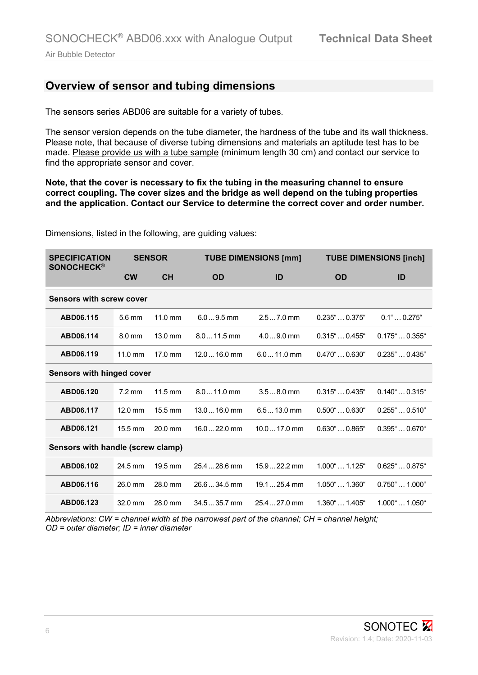## **Overview of sensor and tubing dimensions**

The sensors series ABD06 are suitable for a variety of tubes.

The sensor version depends on the tube diameter, the hardness of the tube and its wall thickness. Please note, that because of diverse tubing dimensions and materials an aptitude test has to be made. Please provide us with a tube sample (minimum length 30 cm) and contact our service to find the appropriate sensor and cover.

**Note, that the cover is necessary to fix the tubing in the measuring channel to ensure correct coupling. The cover sizes and the bridge as well depend on the tubing properties and the application. Contact our Service to determine the correct cover and order number.** 

| <b>SPECIFICATION</b><br><b>SONOCHECK®</b> |                                 | <b>SENSOR</b>     |               | <b>TUBE DIMENSIONS [mm]</b> |                                 | <b>TUBE DIMENSIONS [inch]</b>   |
|-------------------------------------------|---------------------------------|-------------------|---------------|-----------------------------|---------------------------------|---------------------------------|
|                                           | <b>CW</b>                       | <b>CH</b>         | <b>OD</b>     | ID                          | <b>OD</b>                       | ID                              |
|                                           | <b>Sensors with screw cover</b> |                   |               |                             |                                 |                                 |
| ABD06.115                                 | $5.6 \text{ mm}$                | $11.0$ mm         | $6.09.5$ mm   | $2.57.0$ mm                 | $0.235$ " $0.375$ "             | $0.1^{\circ}$ $0.275^{\circ}$   |
| ABD06.114                                 | $8.0 \text{ mm}$                | 13.0 mm           | $8.011.5$ mm  | $4.09.0$ mm                 | $0.315$ " $0.455$ "             | $0.175$ " $0.355$ "             |
| ABD06.119                                 | $11.0 \text{ mm}$               | $17.0$ mm         | $12.016.0$ mm | $6.011.0$ mm                | $0.470^{\circ}$ $0.630^{\circ}$ | $0.235$ " $0.435$ "             |
| <b>Sensors with hinged cover</b>          |                                 |                   |               |                             |                                 |                                 |
| ABD06.120                                 | $7.2 \text{ mm}$                | $11.5 \text{ mm}$ | $8.011.0$ mm  | $3.58.0$ mm                 | $0.315$ " $0.435$ "             | $0.140^{\circ}$ $0.315^{\circ}$ |
| ABD06.117                                 | $12.0$ mm                       | 15.5 mm           | $13.016.0$ mm | $6.513.0$ mm                | $0.500^{\circ}$ $0.630^{\circ}$ | $0.255$ " $0.510$ "             |
| ABD06.121                                 | 15.5 mm                         | $20.0$ mm         | $16.022.0$ mm | $10.017.0$ mm               | $0.630^{\circ}$ $0.865^{\circ}$ | $0.395$ " $0.670$ "             |
| Sensors with handle (screw clamp)         |                                 |                   |               |                             |                                 |                                 |
| ABD06.102                                 | 24.5 mm                         | 19.5 mm           | 25.4  28.6 mm | 15.9  22.2 mm               | $1.000$ " $1.125$ "             | $0.625$ " $0.875$ "             |
| ABD06.116                                 | 26.0 mm                         | 28.0 mm           | 26.6  34.5 mm | 19.1  25.4 mm               | $1.050^{\circ}$ $1.360^{\circ}$ | $0.750$ "  1.000"               |
| ABD06.123                                 | 32.0 mm                         | 28.0 mm           | 34.5  35.7 mm | 25.4  27.0 mm               | $1.360^{\circ}$ $1.405^{\circ}$ | $1.000^{\circ}$ $1.050^{\circ}$ |

Dimensions, listed in the following, are guiding values:

*Abbreviations: CW = channel width at the narrowest part of the channel; CH = channel height; OD = outer diameter; ID = inner diameter*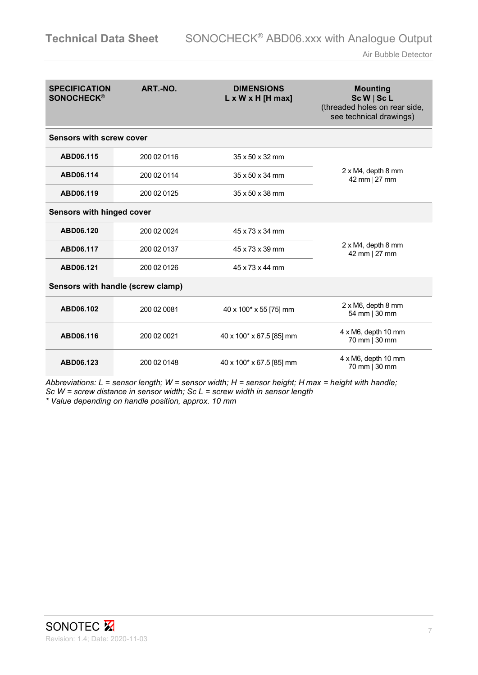| <b>SPECIFICATION</b><br><b>SONOCHECK®</b> | ART.-NO.    | <b>DIMENSIONS</b><br>$L \times W \times H$ [H max] | <b>Mounting</b><br>ScW ScL<br>(threaded holes on rear side,<br>see technical drawings) |  |  |
|-------------------------------------------|-------------|----------------------------------------------------|----------------------------------------------------------------------------------------|--|--|
| <b>Sensors with screw cover</b>           |             |                                                    |                                                                                        |  |  |
| ABD06.115                                 | 200 02 0116 | $35 \times 50 \times 32$ mm                        |                                                                                        |  |  |
| ABD06.114                                 | 200 02 0114 | $35 \times 50 \times 34$ mm                        | 2 x M4, depth 8 mm<br>42 mm   27 mm                                                    |  |  |
| ABD06.119                                 | 200 02 0125 | 35 x 50 x 38 mm                                    |                                                                                        |  |  |
| Sensors with hinged cover                 |             |                                                    |                                                                                        |  |  |
| ABD06.120                                 | 200 02 0024 | 45 x 73 x 34 mm                                    |                                                                                        |  |  |
| ABD06.117                                 | 200 02 0137 | 45 x 73 x 39 mm                                    | 2 x M4, depth 8 mm<br>42 mm   27 mm                                                    |  |  |
| ABD06.121                                 | 200 02 0126 | 45 x 73 x 44 mm                                    |                                                                                        |  |  |
| Sensors with handle (screw clamp)         |             |                                                    |                                                                                        |  |  |
| ABD06.102                                 | 200 02 0081 | 40 x 100* x 55 [75] mm                             | 2 x M6, depth 8 mm<br>54 mm   30 mm                                                    |  |  |
| ABD06.116                                 | 200 02 0021 | 40 x 100* x 67.5 [85] mm                           | 4 x M6, depth 10 mm<br>70 mm   30 mm                                                   |  |  |
| ABD06.123                                 | 200 02 0148 | 40 x 100* x 67.5 [85] mm                           | 4 x M6, depth 10 mm<br>70 mm   30 mm                                                   |  |  |

*Abbreviations: L = sensor length; W = sensor width; H = sensor height; H max = height with handle; Sc W = screw distance in sensor width; Sc L = screw width in sensor length* 

*\* Value depending on handle position, approx. 10 mm*